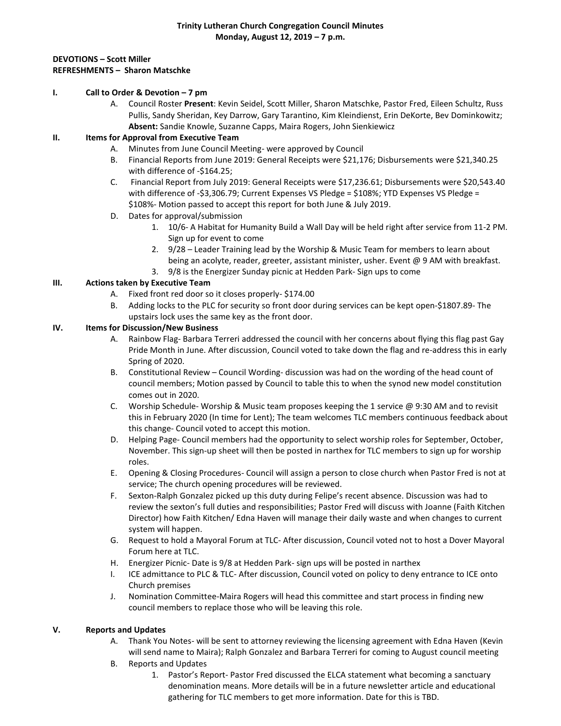#### **Trinity Lutheran Church Congregation Council Minutes Monday, August 12, 2019 – 7 p.m.**

## **DEVOTIONS – Scott Miller REFRESHMENTS – Sharon Matschke**

## **I. Call to Order & Devotion – 7 pm**

A. Council Roster **Present**: Kevin Seidel, Scott Miller, Sharon Matschke, Pastor Fred, Eileen Schultz, Russ Pullis, Sandy Sheridan, Key Darrow, Gary Tarantino, Kim Kleindienst, Erin DeKorte, Bev Dominkowitz; **Absent:** Sandie Knowle, Suzanne Capps, Maira Rogers, John Sienkiewicz

## **II. Items for Approval from Executive Team**

- A. Minutes from June Council Meeting- were approved by Council
- B. Financial Reports from June 2019: General Receipts were \$21,176; Disbursements were \$21,340.25 with difference of -\$164.25;
- C. Financial Report from July 2019: General Receipts were \$17,236.61; Disbursements were \$20,543.40 with difference of -\$3,306.79; Current Expenses VS Pledge = \$108%; YTD Expenses VS Pledge = \$108%- Motion passed to accept this report for both June & July 2019.
- D. Dates for approval/submission
	- 1. 10/6- A Habitat for Humanity Build a Wall Day will be held right after service from 11-2 PM. Sign up for event to come
	- 2. 9/28 Leader Training lead by the Worship & Music Team for members to learn about being an acolyte, reader, greeter, assistant minister, usher. Event @ 9 AM with breakfast.
	- 3. 9/8 is the Energizer Sunday picnic at Hedden Park- Sign ups to come

# **III. Actions taken by Executive Team**

- A. Fixed front red door so it closes properly- \$174.00
- B. Adding locks to the PLC for security so front door during services can be kept open-\$1807.89- The upstairs lock uses the same key as the front door.

### **IV. Items for Discussion/New Business**

- A. Rainbow Flag- Barbara Terreri addressed the council with her concerns about flying this flag past Gay Pride Month in June. After discussion, Council voted to take down the flag and re-address this in early Spring of 2020.
- B. Constitutional Review Council Wording- discussion was had on the wording of the head count of council members; Motion passed by Council to table this to when the synod new model constitution comes out in 2020.
- C. Worship Schedule- Worship & Music team proposes keeping the 1 service @ 9:30 AM and to revisit this in February 2020 (In time for Lent); The team welcomes TLC members continuous feedback about this change- Council voted to accept this motion.
- D. Helping Page- Council members had the opportunity to select worship roles for September, October, November. This sign-up sheet will then be posted in narthex for TLC members to sign up for worship roles.
- E. Opening & Closing Procedures- Council will assign a person to close church when Pastor Fred is not at service; The church opening procedures will be reviewed.
- F. Sexton-Ralph Gonzalez picked up this duty during Felipe's recent absence. Discussion was had to review the sexton's full duties and responsibilities; Pastor Fred will discuss with Joanne (Faith Kitchen Director) how Faith Kitchen/ Edna Haven will manage their daily waste and when changes to current system will happen.
- G. Request to hold a Mayoral Forum at TLC- After discussion, Council voted not to host a Dover Mayoral Forum here at TLC.
- H. Energizer Picnic- Date is 9/8 at Hedden Park- sign ups will be posted in narthex
- I. ICE admittance to PLC & TLC- After discussion, Council voted on policy to deny entrance to ICE onto Church premises
- J. Nomination Committee-Maira Rogers will head this committee and start process in finding new council members to replace those who will be leaving this role.

### **V. Reports and Updates**

- A. Thank You Notes- will be sent to attorney reviewing the licensing agreement with Edna Haven (Kevin will send name to Maira); Ralph Gonzalez and Barbara Terreri for coming to August council meeting
- B. Reports and Updates
	- 1. Pastor's Report- Pastor Fred discussed the ELCA statement what becoming a sanctuary denomination means. More details will be in a future newsletter article and educational gathering for TLC members to get more information. Date for this is TBD.